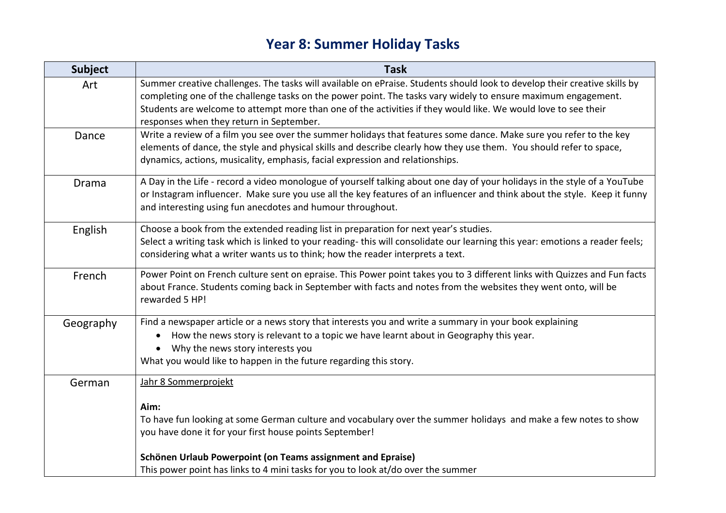## **Year 8: Summer Holiday Tasks**

| <b>Subject</b> | <b>Task</b>                                                                                                                                                                                                                                                                                                                                                                                              |
|----------------|----------------------------------------------------------------------------------------------------------------------------------------------------------------------------------------------------------------------------------------------------------------------------------------------------------------------------------------------------------------------------------------------------------|
| Art            | Summer creative challenges. The tasks will available on ePraise. Students should look to develop their creative skills by<br>completing one of the challenge tasks on the power point. The tasks vary widely to ensure maximum engagement.<br>Students are welcome to attempt more than one of the activities if they would like. We would love to see their<br>responses when they return in September. |
| Dance          | Write a review of a film you see over the summer holidays that features some dance. Make sure you refer to the key<br>elements of dance, the style and physical skills and describe clearly how they use them. You should refer to space,<br>dynamics, actions, musicality, emphasis, facial expression and relationships.                                                                               |
| <b>Drama</b>   | A Day in the Life - record a video monologue of yourself talking about one day of your holidays in the style of a YouTube<br>or Instagram influencer. Make sure you use all the key features of an influencer and think about the style. Keep it funny<br>and interesting using fun anecdotes and humour throughout.                                                                                     |
| English        | Choose a book from the extended reading list in preparation for next year's studies.<br>Select a writing task which is linked to your reading-this will consolidate our learning this year: emotions a reader feels;<br>considering what a writer wants us to think; how the reader interprets a text.                                                                                                   |
| French         | Power Point on French culture sent on epraise. This Power point takes you to 3 different links with Quizzes and Fun facts<br>about France. Students coming back in September with facts and notes from the websites they went onto, will be<br>rewarded 5 HP!                                                                                                                                            |
| Geography      | Find a newspaper article or a news story that interests you and write a summary in your book explaining<br>How the news story is relevant to a topic we have learnt about in Geography this year.<br>Why the news story interests you<br>What you would like to happen in the future regarding this story.                                                                                               |
| German         | Jahr 8 Sommerprojekt<br>Aim:                                                                                                                                                                                                                                                                                                                                                                             |
|                | To have fun looking at some German culture and vocabulary over the summer holidays and make a few notes to show<br>you have done it for your first house points September!                                                                                                                                                                                                                               |
|                | Schönen Urlaub Powerpoint (on Teams assignment and Epraise)<br>This power point has links to 4 mini tasks for you to look at/do over the summer                                                                                                                                                                                                                                                          |